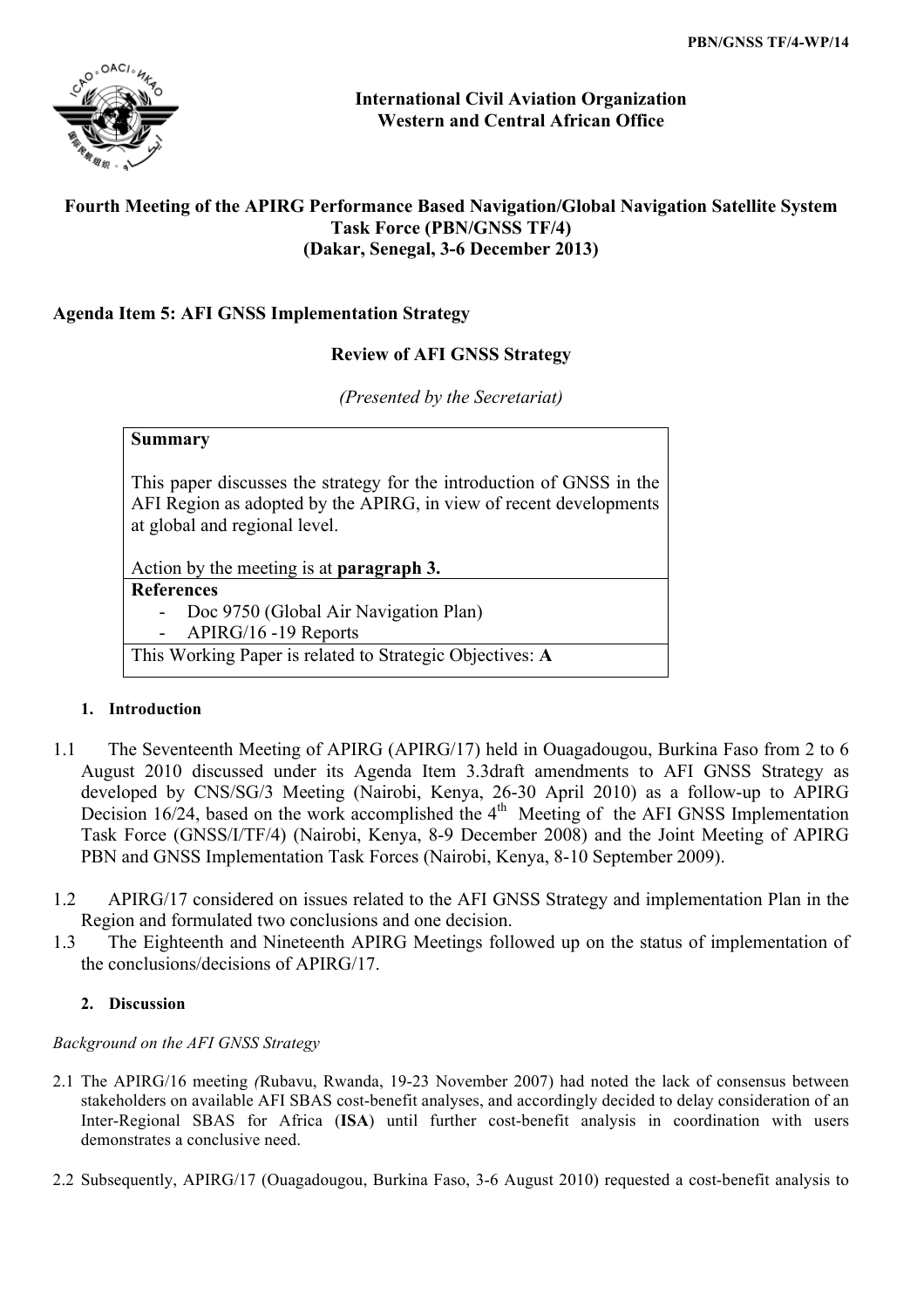

**International Civil Aviation Organization Western and Central African Office**

# **Fourth Meeting of the APIRG Performance Based Navigation/Global Navigation Satellite System Task Force (PBN/GNSS TF/4) (Dakar, Senegal, 3-6 December 2013)**

# **Agenda Item 5: AFI GNSS Implementation Strategy**

# **Review of AFI GNSS Strategy**

*(Presented by the Secretariat)*

| Summary                                                                                                                                                                      |                                                 |  |  |
|------------------------------------------------------------------------------------------------------------------------------------------------------------------------------|-------------------------------------------------|--|--|
| This paper discusses the strategy for the introduction of GNSS in the<br>AFI Region as adopted by the APIRG, in view of recent developments<br>at global and regional level. |                                                 |  |  |
|                                                                                                                                                                              | Action by the meeting is at <b>paragraph 3.</b> |  |  |
| <b>References</b>                                                                                                                                                            |                                                 |  |  |
|                                                                                                                                                                              | Doc 9750 (Global Air Navigation Plan)           |  |  |
| APIRG/16 -19 Reports                                                                                                                                                         |                                                 |  |  |
|                                                                                                                                                                              |                                                 |  |  |

## **1. Introduction**

- 1.1 The Seventeenth Meeting of APIRG (APIRG/17) held in Ouagadougou, Burkina Faso from 2 to 6 August 2010 discussed under its Agenda Item 3.3draft amendments to AFI GNSS Strategy as developed by CNS/SG/3 Meeting (Nairobi, Kenya, 26-30 April 2010) as a follow-up to APIRG Decision 16/24, based on the work accomplished the  $4<sup>th</sup>$  Meeting of the AFI GNSS Implementation Task Force (GNSS/I/TF/4) (Nairobi, Kenya, 8-9 December 2008) and the Joint Meeting of APIRG PBN and GNSS Implementation Task Forces (Nairobi, Kenya, 8-10 September 2009).
- 1.2 APIRG/17 considered on issues related to the AFI GNSS Strategy and implementation Plan in the Region and formulated two conclusions and one decision.
- 1.3 The Eighteenth and Nineteenth APIRG Meetings followed up on the status of implementation of the conclusions/decisions of APIRG/17.

## **2. Discussion**

## *Background on the AFI GNSS Strategy*

- 2.1 The APIRG/16 meeting *(*Rubavu, Rwanda, 19-23 November 2007) had noted the lack of consensus between stakeholders on available AFI SBAS cost-benefit analyses, and accordingly decided to delay consideration of an Inter-Regional SBAS for Africa (**ISA**) until further cost-benefit analysis in coordination with users demonstrates a conclusive need.
- 2.2 Subsequently, APIRG/17 (Ouagadougou, Burkina Faso, 3-6 August 2010) requested a cost-benefit analysis to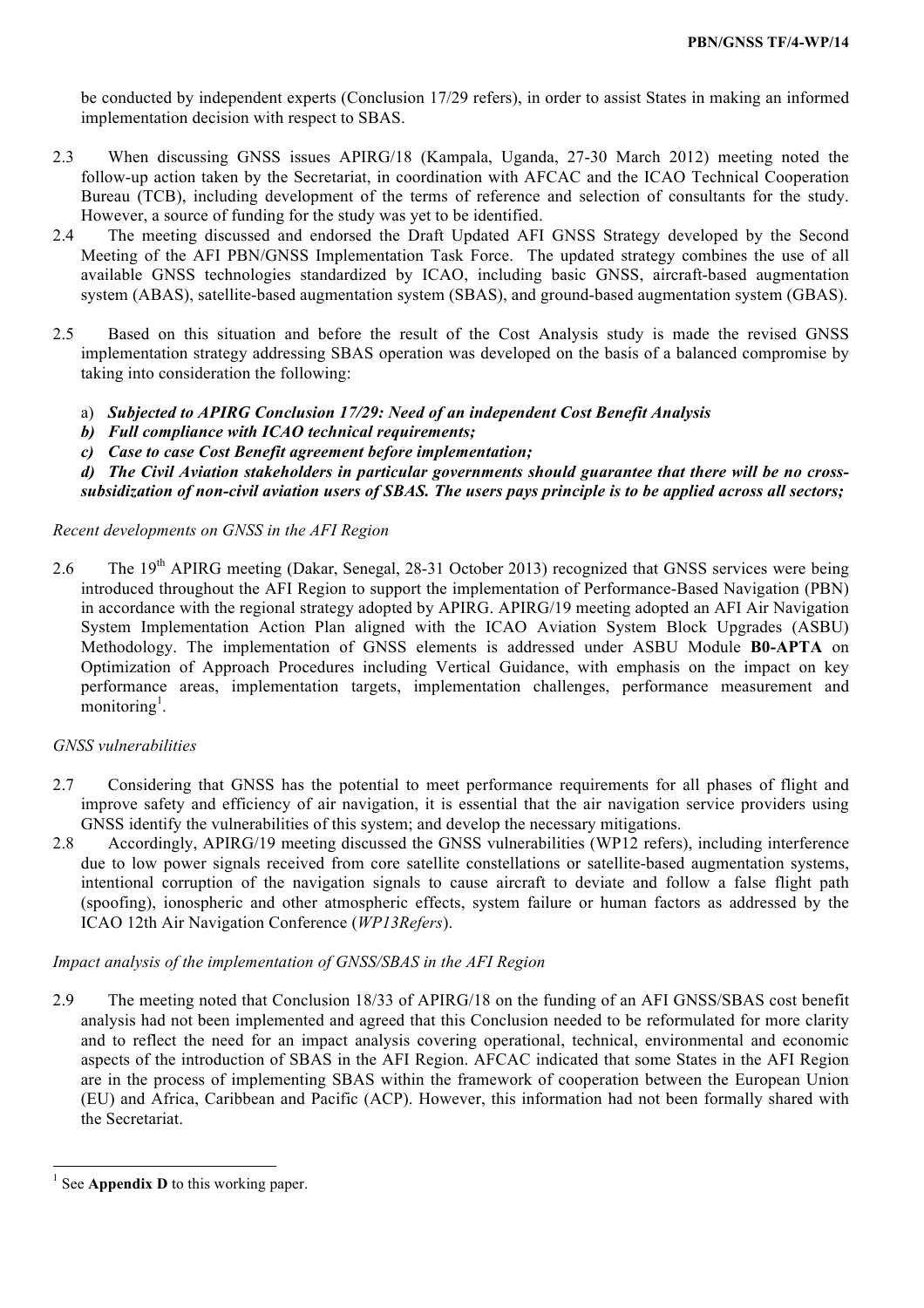be conducted by independent experts (Conclusion 17/29 refers), in order to assist States in making an informed implementation decision with respect to SBAS.

- 2.3 When discussing GNSS issues APIRG/18 (Kampala, Uganda, 27-30 March 2012) meeting noted the follow-up action taken by the Secretariat, in coordination with AFCAC and the ICAO Technical Cooperation Bureau (TCB), including development of the terms of reference and selection of consultants for the study. However, a source of funding for the study was yet to be identified.
- 2.4 The meeting discussed and endorsed the Draft Updated AFI GNSS Strategy developed by the Second Meeting of the AFI PBN/GNSS Implementation Task Force. The updated strategy combines the use of all available GNSS technologies standardized by ICAO, including basic GNSS, aircraft-based augmentation system (ABAS), satellite-based augmentation system (SBAS), and ground-based augmentation system (GBAS).
- 2.5 Based on this situation and before the result of the Cost Analysis study is made the revised GNSS implementation strategy addressing SBAS operation was developed on the basis of a balanced compromise by taking into consideration the following:
	- a) *Subjected to APIRG Conclusion 17/29: Need of an independent Cost Benefit Analysis*
	- *b) Full compliance with ICAO technical requirements;*
	- *c) Case to case Cost Benefit agreement before implementation;*
	- *d) The Civil Aviation stakeholders in particular governments should guarantee that there will be no crosssubsidization of non-civil aviation users of SBAS. The users pays principle is to be applied across all sectors;*

## *Recent developments on GNSS in the AFI Region*

2.6 The 19<sup>th</sup> APIRG meeting (Dakar, Senegal, 28-31 October 2013) recognized that GNSS services were being introduced throughout the AFI Region to support the implementation of Performance-Based Navigation (PBN) in accordance with the regional strategy adopted by APIRG. APIRG/19 meeting adopted an AFI Air Navigation System Implementation Action Plan aligned with the ICAO Aviation System Block Upgrades (ASBU) Methodology. The implementation of GNSS elements is addressed under ASBU Module **B0-APTA** on Optimization of Approach Procedures including Vertical Guidance, with emphasis on the impact on key performance areas, implementation targets, implementation challenges, performance measurement and  $m$ onitoring<sup>1</sup>.

## *GNSS vulnerabilities*

- 2.7 Considering that GNSS has the potential to meet performance requirements for all phases of flight and improve safety and efficiency of air navigation, it is essential that the air navigation service providers using GNSS identify the vulnerabilities of this system; and develop the necessary mitigations.
- 2.8 Accordingly, APIRG/19 meeting discussed the GNSS vulnerabilities (WP12 refers), including interference due to low power signals received from core satellite constellations or satellite-based augmentation systems, intentional corruption of the navigation signals to cause aircraft to deviate and follow a false flight path (spoofing), ionospheric and other atmospheric effects, system failure or human factors as addressed by the ICAO 12th Air Navigation Conference (*WP13Refers*).

## *Impact analysis of the implementation of GNSS/SBAS in the AFI Region*

2.9 The meeting noted that Conclusion 18/33 of APIRG/18 on the funding of an AFI GNSS/SBAS cost benefit analysis had not been implemented and agreed that this Conclusion needed to be reformulated for more clarity and to reflect the need for an impact analysis covering operational, technical, environmental and economic aspects of the introduction of SBAS in the AFI Region. AFCAC indicated that some States in the AFI Region are in the process of implementing SBAS within the framework of cooperation between the European Union (EU) and Africa, Caribbean and Pacific (ACP). However, this information had not been formally shared with the Secretariat.

<u> 1989 - Johann Stein, marwolaethau a bh</u>

<sup>&</sup>lt;sup>1</sup> See **Appendix D** to this working paper.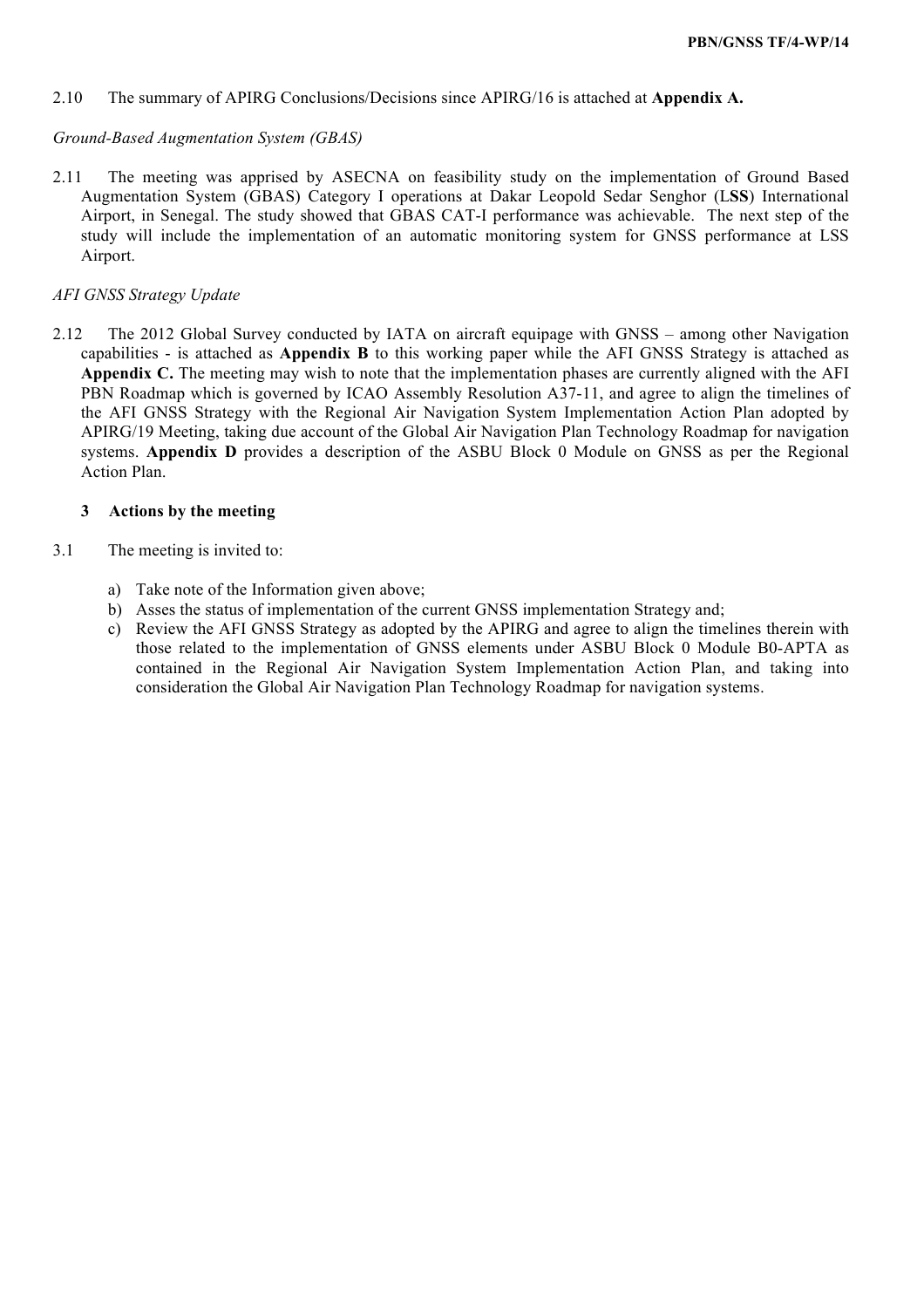#### 2.10 The summary of APIRG Conclusions/Decisions since APIRG/16 is attached at **Appendix A.**

#### *Ground-Based Augmentation System (GBAS)*

2.11 The meeting was apprised by ASECNA on feasibility study on the implementation of Ground Based Augmentation System (GBAS) Category I operations at Dakar Leopold Sedar Senghor (L**SS**) International Airport, in Senegal. The study showed that GBAS CAT-I performance was achievable. The next step of the study will include the implementation of an automatic monitoring system for GNSS performance at LSS Airport.

#### *AFI GNSS Strategy Update*

2.12 The 2012 Global Survey conducted by IATA on aircraft equipage with GNSS – among other Navigation capabilities - is attached as **Appendix B** to this working paper while the AFI GNSS Strategy is attached as **Appendix C.** The meeting may wish to note that the implementation phases are currently aligned with the AFI PBN Roadmap which is governed by ICAO Assembly Resolution A37-11, and agree to align the timelines of the AFI GNSS Strategy with the Regional Air Navigation System Implementation Action Plan adopted by APIRG/19 Meeting, taking due account of the Global Air Navigation Plan Technology Roadmap for navigation systems. **Appendix D** provides a description of the ASBU Block 0 Module on GNSS as per the Regional Action Plan.

#### **3 Actions by the meeting**

- 3.1 The meeting is invited to:
	- a) Take note of the Information given above;
	- b) Asses the status of implementation of the current GNSS implementation Strategy and;
	- c) Review the AFI GNSS Strategy as adopted by the APIRG and agree to align the timelines therein with those related to the implementation of GNSS elements under ASBU Block 0 Module B0-APTA as contained in the Regional Air Navigation System Implementation Action Plan, and taking into consideration the Global Air Navigation Plan Technology Roadmap for navigation systems.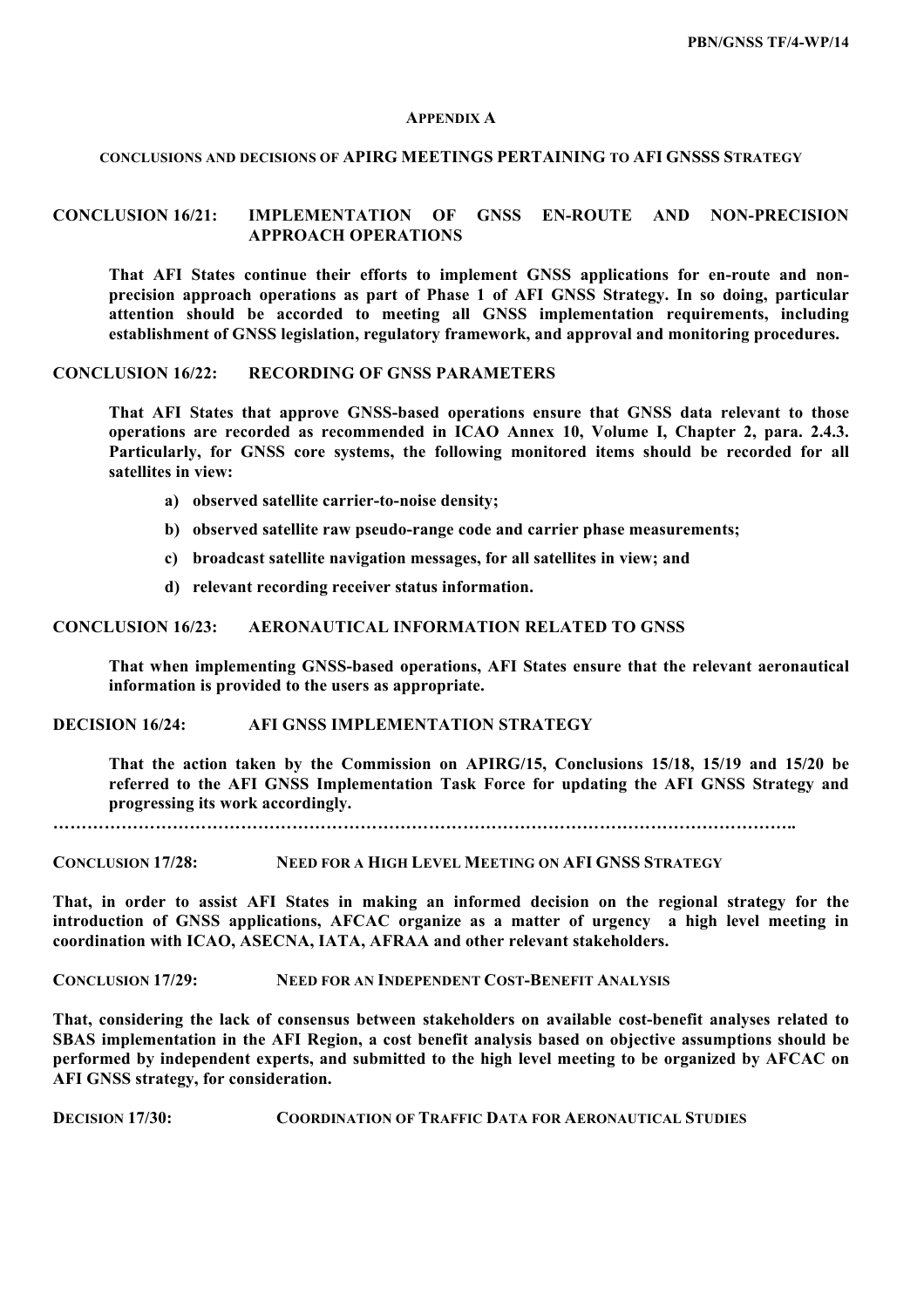#### **APPENDIX A**

#### **CONCLUSIONS AND DECISIONS OF APIRG MEETINGS PERTAINING TO AFI GNSSS STRATEGY**

#### **CONCLUSION 16/21: IMPLEMENTATION OF GNSS EN-ROUTE AND NON-PRECISION APPROACH OPERATIONS**

**That AFI States continue their efforts to implement GNSS applications for en-route and nonprecision approach operations as part of Phase 1 of AFI GNSS Strategy. In so doing, particular attention should be accorded to meeting all GNSS implementation requirements, including establishment of GNSS legislation, regulatory framework, and approval and monitoring procedures.**

#### **CONCLUSION 16/22: RECORDING OF GNSS PARAMETERS**

**That AFI States that approve GNSS-based operations ensure that GNSS data relevant to those operations are recorded as recommended in ICAO Annex 10, Volume I, Chapter 2, para. 2.4.3. Particularly, for GNSS core systems, the following monitored items should be recorded for all satellites in view:**

- **a) observed satellite carrier-to-noise density;**
- **b) observed satellite raw pseudo-range code and carrier phase measurements;**
- **c) broadcast satellite navigation messages, for all satellites in view; and**
- **d) relevant recording receiver status information.**

#### **CONCLUSION 16/23: AERONAUTICAL INFORMATION RELATED TO GNSS**

**That when implementing GNSS-based operations, AFI States ensure that the relevant aeronautical information is provided to the users as appropriate.**

#### **DECISION 16/24: AFI GNSS IMPLEMENTATION STRATEGY**

**That the action taken by the Commission on APIRG/15, Conclusions 15/18, 15/19 and 15/20 be referred to the AFI GNSS Implementation Task Force for updating the AFI GNSS Strategy and progressing its work accordingly.**

**…………………………………………………………………………………………………………………..**

**CONCLUSION 17/28: NEED FOR A HIGH LEVEL MEETING ON AFI GNSS STRATEGY**

**That, in order to assist AFI States in making an informed decision on the regional strategy for the introduction of GNSS applications, AFCAC organize as a matter of urgency a high level meeting in coordination with ICAO, ASECNA, IATA, AFRAA and other relevant stakeholders.**

**CONCLUSION 17/29: NEED FOR AN INDEPENDENT COST-BENEFIT ANALYSIS**

**That, considering the lack of consensus between stakeholders on available cost-benefit analyses related to SBAS implementation in the AFI Region, a cost benefit analysis based on objective assumptions should be performed by independent experts, and submitted to the high level meeting to be organized by AFCAC on AFI GNSS strategy, for consideration.**

**DECISION 17/30: COORDINATION OF TRAFFIC DATA FOR AERONAUTICAL STUDIES**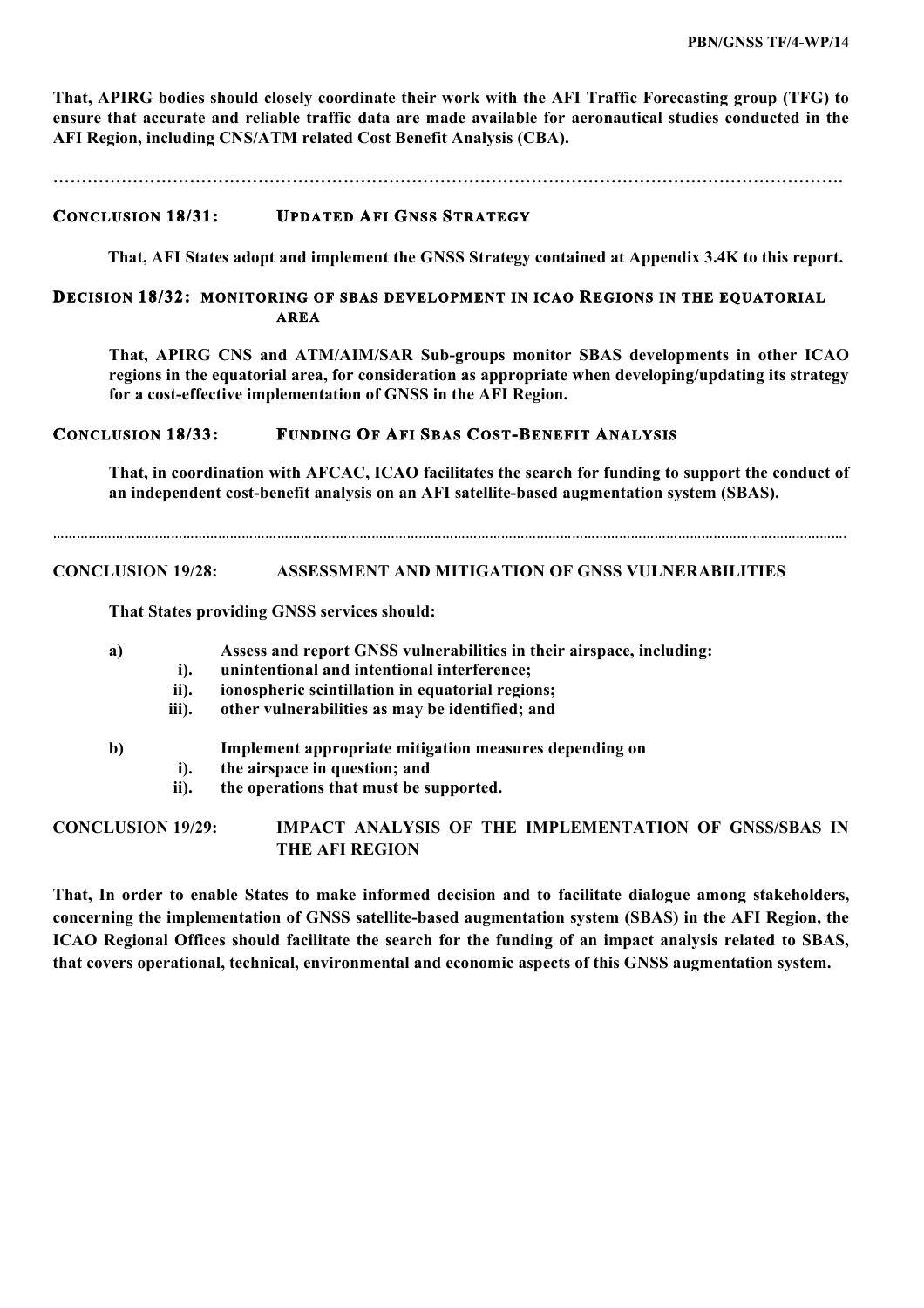**That, APIRG bodies should closely coordinate their work with the AFI Traffic Forecasting group (TFG) to ensure that accurate and reliable traffic data are made available for aeronautical studies conducted in the AFI Region, including CNS/ATM related Cost Benefit Analysis (CBA).**

**………………………………………………………………………………………………………………………….**

## **CONCLUSION 18/31: UPDATED AFI GNSS STRATEGY**

**That, AFI States adopt and implement the GNSS Strategy contained at Appendix 3.4K to this report.**

## **DECISION 18/32: MONITORING OF SBAS DEVELOPMENT IN ICAO REGIONS IN THE EQUATORIAL AREA**

**That, APIRG CNS and ATM/AIM/SAR Sub-groups monitor SBAS developments in other ICAO regions in the equatorial area, for consideration as appropriate when developing/updating its strategy for a cost-effective implementation of GNSS in the AFI Region.**

## **CONCLUSION 18/33: FUNDING OF AFI SBAS COST-BENEFIT ANALYSIS**

**That, in coordination with AFCAC, ICAO facilitates the search for funding to support the conduct of an independent cost-benefit analysis on an AFI satellite-based augmentation system (SBAS).**

………………………………………………………………………………………………………………………………………………………………………………….

## **CONCLUSION 19/28: ASSESSMENT AND MITIGATION OF GNSS VULNERABILITIES**

**That States providing GNSS services should:**

| a) |  |  | Assess and report GNSS vulnerabilities in their airspace, including: |  |  |
|----|--|--|----------------------------------------------------------------------|--|--|
|----|--|--|----------------------------------------------------------------------|--|--|

- **i). unintentional and intentional interference;**
- **ii). ionospheric scintillation in equatorial regions;**
- **iii). other vulnerabilities as may be identified; and**
- **b) Implement appropriate mitigation measures depending on** 
	- **i). the airspace in question; and**
		- **ii). the operations that must be supported.**

**CONCLUSION 19/29: IMPACT ANALYSIS OF THE IMPLEMENTATION OF GNSS/SBAS IN THE AFI REGION**

**That, In order to enable States to make informed decision and to facilitate dialogue among stakeholders, concerning the implementation of GNSS satellite-based augmentation system (SBAS) in the AFI Region, the ICAO Regional Offices should facilitate the search for the funding of an impact analysis related to SBAS, that covers operational, technical, environmental and economic aspects of this GNSS augmentation system.**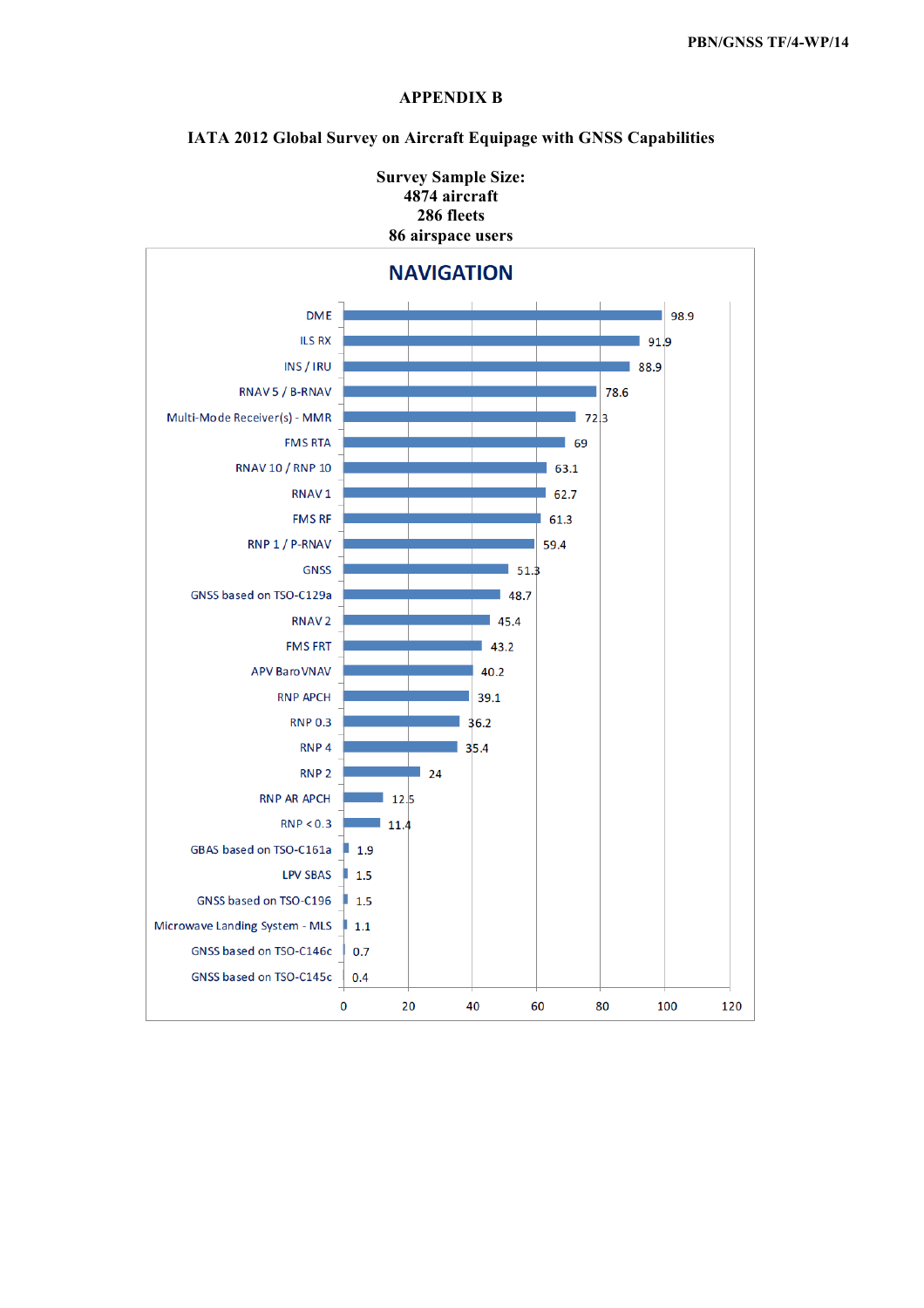

## **APPENDIX B**

**IATA 2012 Global Survey on Aircraft Equipage with GNSS Capabilities**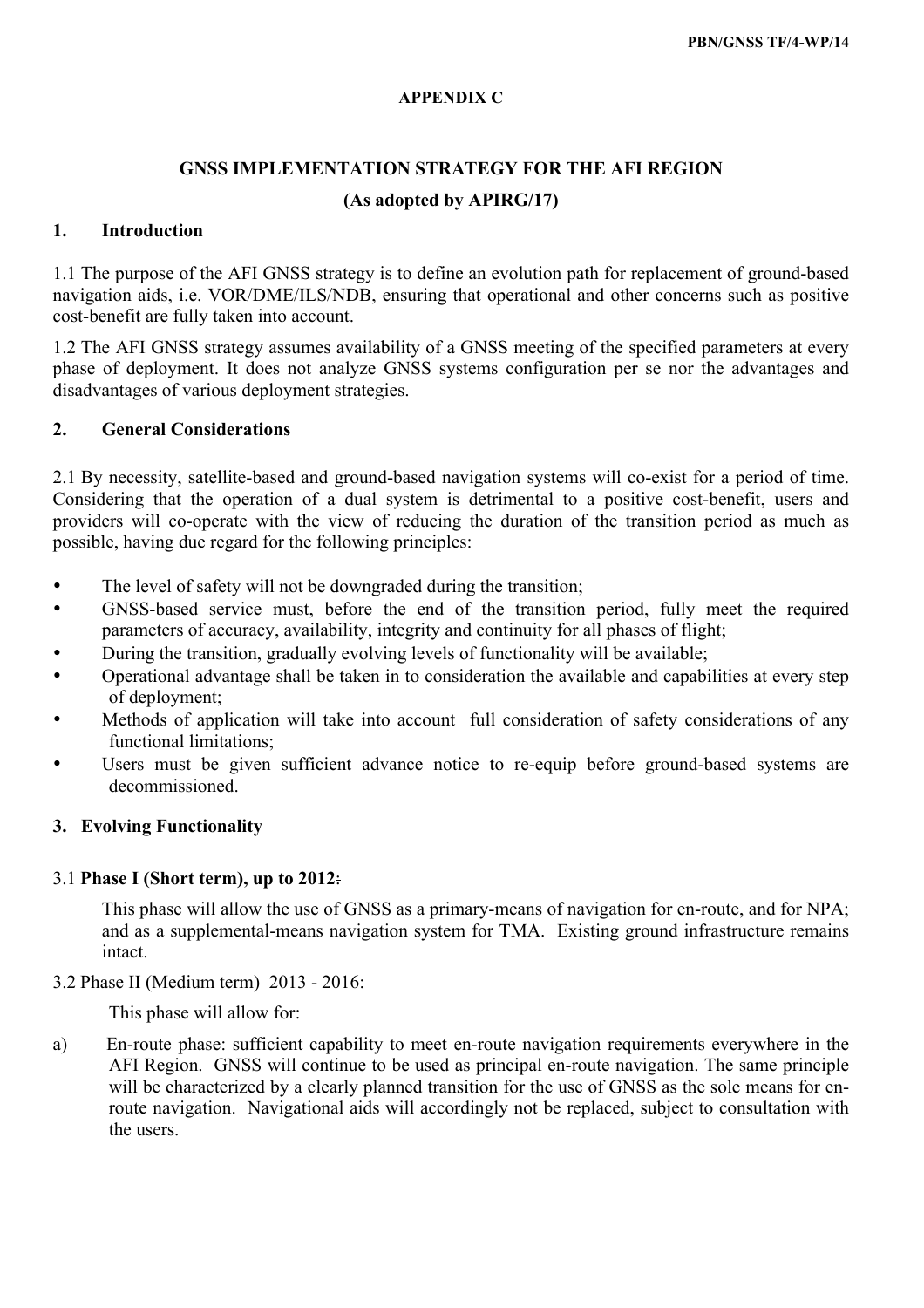## **APPENDIX C**

# **GNSS IMPLEMENTATION STRATEGY FOR THE AFI REGION (As adopted by APIRG/17)**

## **1. Introduction**

1.1 The purpose of the AFI GNSS strategy is to define an evolution path for replacement of ground-based navigation aids, i.e. VOR/DME/ILS/NDB, ensuring that operational and other concerns such as positive cost-benefit are fully taken into account.

1.2 The AFI GNSS strategy assumes availability of a GNSS meeting of the specified parameters at every phase of deployment. It does not analyze GNSS systems configuration per se nor the advantages and disadvantages of various deployment strategies.

## **2. General Considerations**

2.1 By necessity, satellite-based and ground-based navigation systems will co-exist for a period of time. Considering that the operation of a dual system is detrimental to a positive cost-benefit, users and providers will co-operate with the view of reducing the duration of the transition period as much as possible, having due regard for the following principles:

- The level of safety will not be downgraded during the transition;
- GNSS-based service must, before the end of the transition period, fully meet the required parameters of accuracy, availability, integrity and continuity for all phases of flight;
- During the transition, gradually evolving levels of functionality will be available;
- Operational advantage shall be taken in to consideration the available and capabilities at every step of deployment;
- Methods of application will take into account full consideration of safety considerations of any functional limitations;
- Users must be given sufficient advance notice to re-equip before ground-based systems are decommissioned.

# **3. Evolving Functionality**

## 3.1 **Phase I (Short term), up to 2012**:

This phase will allow the use of GNSS as a primary-means of navigation for en-route, and for NPA; and as a supplemental-means navigation system for TMA. Existing ground infrastructure remains intact.

3.2 Phase II (Medium term) 2013 - 2016:

This phase will allow for:

a) En-route phase: sufficient capability to meet en-route navigation requirements everywhere in the AFI Region. GNSS will continue to be used as principal en-route navigation. The same principle will be characterized by a clearly planned transition for the use of GNSS as the sole means for enroute navigation. Navigational aids will accordingly not be replaced, subject to consultation with the users.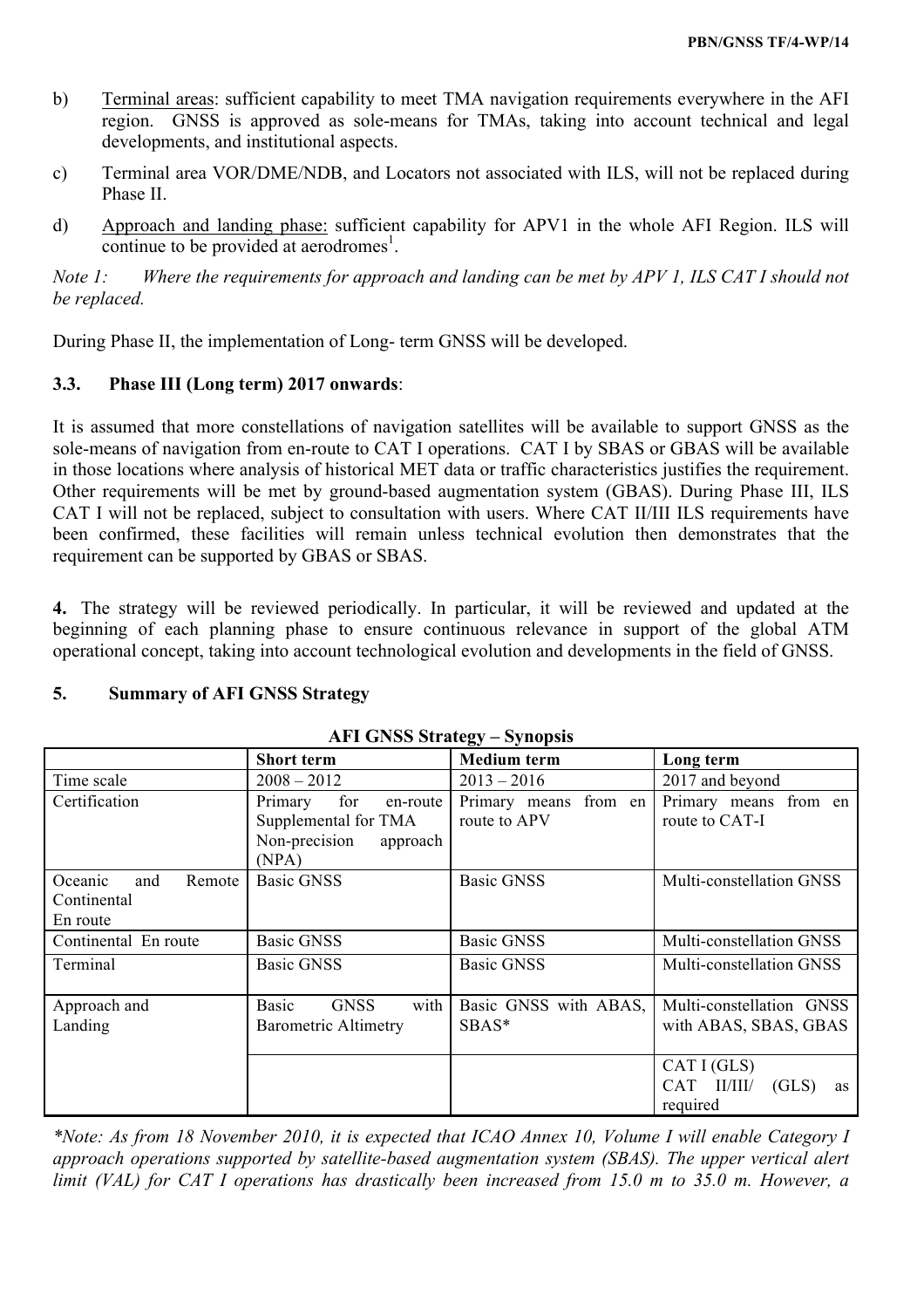- b) Terminal areas: sufficient capability to meet TMA navigation requirements everywhere in the AFI region. GNSS is approved as sole-means for TMAs, taking into account technical and legal developments, and institutional aspects.
- c) Terminal area VOR/DME/NDB, and Locators not associated with ILS, will not be replaced during Phase II.
- d) Approach and landing phase: sufficient capability for APV1 in the whole AFI Region. ILS will continue to be provided at  $a$ erodromes<sup>1</sup>.

*Note 1: Where the requirements for approach and landing can be met by APV 1, ILS CAT I should not be replaced.*

During Phase II, the implementation of Long- term GNSS will be developed.

# **3.3. Phase III (Long term) 2017 onwards**:

It is assumed that more constellations of navigation satellites will be available to support GNSS as the sole-means of navigation from en-route to CAT I operations. CAT I by SBAS or GBAS will be available in those locations where analysis of historical MET data or traffic characteristics justifies the requirement. Other requirements will be met by ground-based augmentation system (GBAS). During Phase III, ILS CAT I will not be replaced, subject to consultation with users. Where CAT II/III ILS requirements have been confirmed, these facilities will remain unless technical evolution then demonstrates that the requirement can be supported by GBAS or SBAS.

**4.** The strategy will be reviewed periodically. In particular, it will be reviewed and updated at the beginning of each planning phase to ensure continuous relevance in support of the global ATM operational concept, taking into account technological evolution and developments in the field of GNSS.

# **5. Summary of AFI GNSS Strategy**

|                                                     | <b>Short term</b>                                                                        | ື້<br><b>Medium</b> term              | Long term                                            |  |
|-----------------------------------------------------|------------------------------------------------------------------------------------------|---------------------------------------|------------------------------------------------------|--|
| Time scale                                          | $2008 - 2012$                                                                            | $2013 - 2016$                         | 2017 and beyond                                      |  |
| Certification                                       | Primary<br>for<br>en-route<br>Supplemental for TMA<br>Non-precision<br>approach<br>(NPA) | Primary means from en<br>route to APV | Primary means from en<br>route to CAT-I              |  |
| Oceanic<br>and<br>Remote<br>Continental<br>En route | <b>Basic GNSS</b>                                                                        | <b>Basic GNSS</b>                     | Multi-constellation GNSS                             |  |
| Continental En route                                | <b>Basic GNSS</b>                                                                        | <b>Basic GNSS</b>                     | Multi-constellation GNSS                             |  |
| Terminal                                            | <b>Basic GNSS</b>                                                                        | <b>Basic GNSS</b>                     | Multi-constellation GNSS                             |  |
| Approach and<br>Landing                             | Basic<br><b>GNSS</b><br>with<br><b>Barometric Altimetry</b>                              | Basic GNSS with ABAS,<br>SBAS*        | Multi-constellation GNSS<br>with ABAS, SBAS, GBAS    |  |
|                                                     |                                                                                          |                                       | CAT I(GLS)<br>CAT II/III/<br>(GLS)<br>as<br>required |  |

## **AFI GNSS Strategy – Synopsis**

*\*Note: As from 18 November 2010, it is expected that ICAO Annex 10, Volume I will enable Category I approach operations supported by satellite-based augmentation system (SBAS). The upper vertical alert limit (VAL) for CAT I operations has drastically been increased from 15.0 m to 35.0 m. However, a*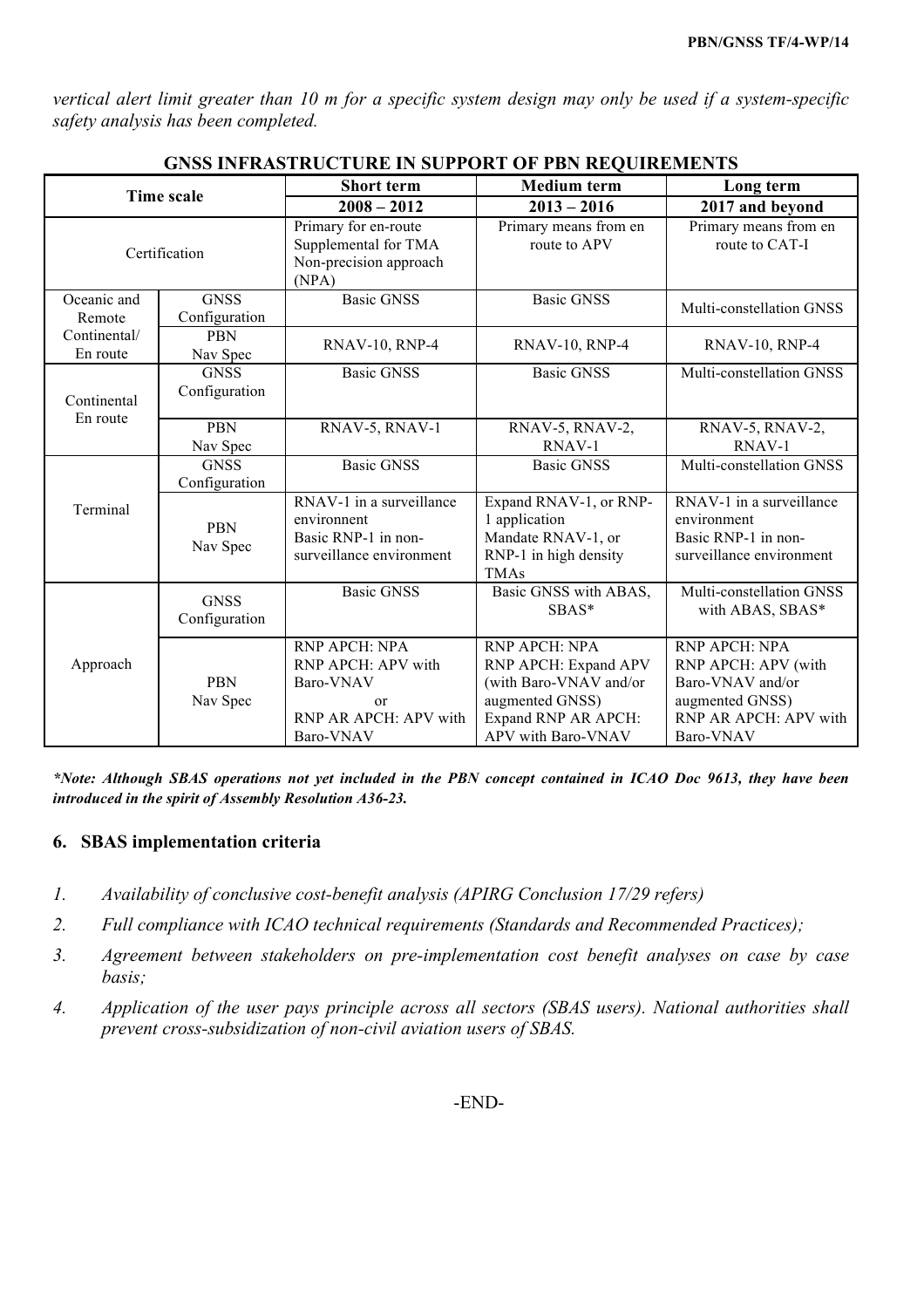*vertical alert limit greater than 10 m for a specific system design may only be used if a system-specific safety analysis has been completed.*

| GNSS INFRASTRUCTURE IN SUPPORT OF PBN REQUIREMENTS |                              |                                                                                                         |                                                                                                                                 |                                                                                                                   |  |
|----------------------------------------------------|------------------------------|---------------------------------------------------------------------------------------------------------|---------------------------------------------------------------------------------------------------------------------------------|-------------------------------------------------------------------------------------------------------------------|--|
| <b>Time scale</b>                                  |                              | <b>Short term</b>                                                                                       | <b>Medium</b> term                                                                                                              | Long term                                                                                                         |  |
|                                                    |                              | $2008 - 2012$                                                                                           | $2013 - 2016$                                                                                                                   | 2017 and beyond                                                                                                   |  |
|                                                    | Certification                | Primary for en-route<br>Supplemental for TMA<br>Non-precision approach<br>(NPA)                         | Primary means from en<br>route to APV                                                                                           | Primary means from en<br>route to CAT-I                                                                           |  |
| Oceanic and<br>Remote                              | <b>GNSS</b><br>Configuration | <b>Basic GNSS</b>                                                                                       | <b>Basic GNSS</b>                                                                                                               | Multi-constellation GNSS                                                                                          |  |
| Continental/<br>En route                           | <b>PBN</b><br>Nav Spec       | <b>RNAV-10, RNP-4</b>                                                                                   | RNAV-10, RNP-4                                                                                                                  | <b>RNAV-10, RNP-4</b>                                                                                             |  |
| Continental<br>En route                            | <b>GNSS</b><br>Configuration | <b>Basic GNSS</b>                                                                                       | <b>Basic GNSS</b>                                                                                                               | Multi-constellation GNSS                                                                                          |  |
|                                                    | <b>PBN</b><br>Nav Spec       | RNAV-5, RNAV-1                                                                                          | RNAV-5, RNAV-2,<br>RNAV-1                                                                                                       | RNAV-5, RNAV-2,<br>RNAV-1                                                                                         |  |
|                                                    | <b>GNSS</b><br>Configuration | <b>Basic GNSS</b>                                                                                       | <b>Basic GNSS</b>                                                                                                               | Multi-constellation GNSS                                                                                          |  |
| Terminal                                           | <b>PBN</b><br>Nav Spec       | RNAV-1 in a surveillance<br>environnent<br>Basic RNP-1 in non-<br>surveillance environment              | Expand RNAV-1, or RNP-<br>1 application<br>Mandate RNAV-1, or<br>RNP-1 in high density<br><b>TMAs</b>                           | RNAV-1 in a surveillance<br>environment<br>Basic RNP-1 in non-<br>surveillance environment                        |  |
|                                                    | <b>GNSS</b><br>Configuration | <b>Basic GNSS</b>                                                                                       | Basic GNSS with ABAS,<br>SBAS*                                                                                                  | Multi-constellation GNSS<br>with ABAS, SBAS*                                                                      |  |
| Approach                                           | <b>PBN</b><br>Nav Spec       | RNP APCH: NPA<br>RNP APCH: APV with<br>Baro-VNAV<br><sub>or</sub><br>RNP AR APCH: APV with<br>Baro-VNAV | RNP APCH: NPA<br>RNP APCH: Expand APV<br>(with Baro-VNAV and/or<br>augmented GNSS)<br>Expand RNP AR APCH:<br>APV with Baro-VNAV | RNP APCH: NPA<br>RNP APCH: APV (with<br>Baro-VNAV and/or<br>augmented GNSS)<br>RNP AR APCH: APV with<br>Baro-VNAV |  |

**GNSS INFRASTRUCTURE IN SUPPORT OF PBN REQUIREMENTS**

*\*Note: Although SBAS operations not yet included in the PBN concept contained in ICAO Doc 9613, they have been introduced in the spirit of Assembly Resolution A36-23.*

## **6. SBAS implementation criteria**

- *1. Availability of conclusive cost-benefit analysis (APIRG Conclusion 17/29 refers)*
- *2. Full compliance with ICAO technical requirements (Standards and Recommended Practices);*
- *3. Agreement between stakeholders on pre-implementation cost benefit analyses on case by case basis;*
- *4. Application of the user pays principle across all sectors (SBAS users). National authorities shall prevent cross-subsidization of non-civil aviation users of SBAS.*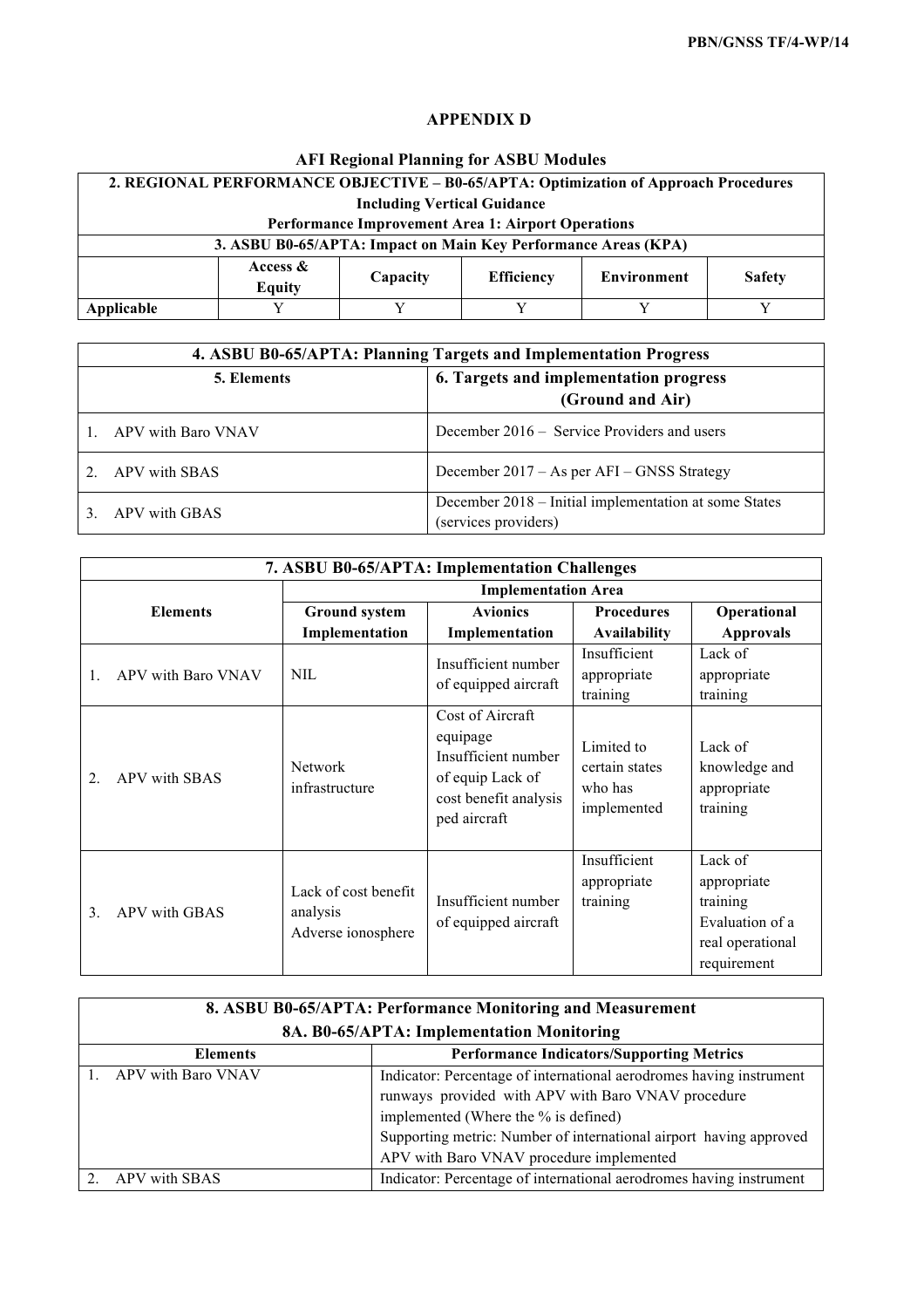# **APPENDIX D**

# **AFI Regional Planning for ASBU Modules**

| 2. REGIONAL PERFORMANCE OBJECTIVE - B0-65/APTA: Optimization of Approach Procedures                  |                                                           |   |   |  |  |
|------------------------------------------------------------------------------------------------------|-----------------------------------------------------------|---|---|--|--|
|                                                                                                      | <b>Including Vertical Guidance</b>                        |   |   |  |  |
|                                                                                                      | <b>Performance Improvement Area 1: Airport Operations</b> |   |   |  |  |
| 3. ASBU B0-65/APTA: Impact on Main Key Performance Areas (KPA)                                       |                                                           |   |   |  |  |
| Access $\&$<br><b>Environment</b><br><b>Efficiency</b><br><b>Safety</b><br>Capacity<br><b>Equity</b> |                                                           |   |   |  |  |
| Applicable                                                                                           |                                                           | v | v |  |  |

|             | 4. ASBU B0-65/APTA: Planning Targets and Implementation Progress |                                                                               |  |  |
|-------------|------------------------------------------------------------------|-------------------------------------------------------------------------------|--|--|
| 5. Elements |                                                                  | 6. Targets and implementation progress                                        |  |  |
|             |                                                                  | (Ground and Air)                                                              |  |  |
|             | APV with Baro VNAV                                               | December 2016 – Service Providers and users                                   |  |  |
|             | APV with SBAS                                                    | December 2017 – As per AFI – GNSS Strategy                                    |  |  |
|             | APV with GBAS                                                    | December 2018 – Initial implementation at some States<br>(services providers) |  |  |

| 7. ASBU B0-65/APTA: Implementation Challenges |                                                        |                                                                                                                  |                                                        |                                                                                          |  |
|-----------------------------------------------|--------------------------------------------------------|------------------------------------------------------------------------------------------------------------------|--------------------------------------------------------|------------------------------------------------------------------------------------------|--|
|                                               | <b>Implementation Area</b>                             |                                                                                                                  |                                                        |                                                                                          |  |
| <b>Elements</b>                               | <b>Ground system</b>                                   | <b>Avionics</b>                                                                                                  | <b>Procedures</b>                                      | Operational                                                                              |  |
|                                               | Implementation                                         | Implementation                                                                                                   | <b>Availability</b>                                    | <b>Approvals</b>                                                                         |  |
| APV with Baro VNAV<br>$\mathbf{1}$ .          | <b>NIL</b>                                             | Insufficient number<br>of equipped aircraft                                                                      | Insufficient<br>appropriate<br>training                | Lack of<br>appropriate<br>training                                                       |  |
| APV with SBAS<br>$\overline{2}$ .             | <b>Network</b><br>infrastructure                       | Cost of Aircraft<br>equipage<br>Insufficient number<br>of equip Lack of<br>cost benefit analysis<br>ped aircraft | Limited to<br>certain states<br>who has<br>implemented | Lack of<br>knowledge and<br>appropriate<br>training                                      |  |
| 3 <sub>1</sub><br>APV with GBAS               | Lack of cost benefit<br>analysis<br>Adverse ionosphere | Insufficient number<br>of equipped aircraft                                                                      | Insufficient<br>appropriate<br>training                | Lack of<br>appropriate<br>training<br>Evaluation of a<br>real operational<br>requirement |  |

| 8. ASBU B0-65/APTA: Performance Monitoring and Measurement          |                                                                                                                                                                                                                                                                                     |  |  |
|---------------------------------------------------------------------|-------------------------------------------------------------------------------------------------------------------------------------------------------------------------------------------------------------------------------------------------------------------------------------|--|--|
| 8A. B0-65/APTA: Implementation Monitoring                           |                                                                                                                                                                                                                                                                                     |  |  |
| <b>Performance Indicators/Supporting Metrics</b><br><b>Elements</b> |                                                                                                                                                                                                                                                                                     |  |  |
| 1. APV with Baro VNAV                                               | Indicator: Percentage of international aerodromes having instrument<br>runways provided with APV with Baro VNAV procedure<br>implemented (Where the % is defined)<br>Supporting metric: Number of international airport having approved<br>APV with Baro VNAV procedure implemented |  |  |
| 2. APV with SBAS                                                    | Indicator: Percentage of international aerodromes having instrument                                                                                                                                                                                                                 |  |  |